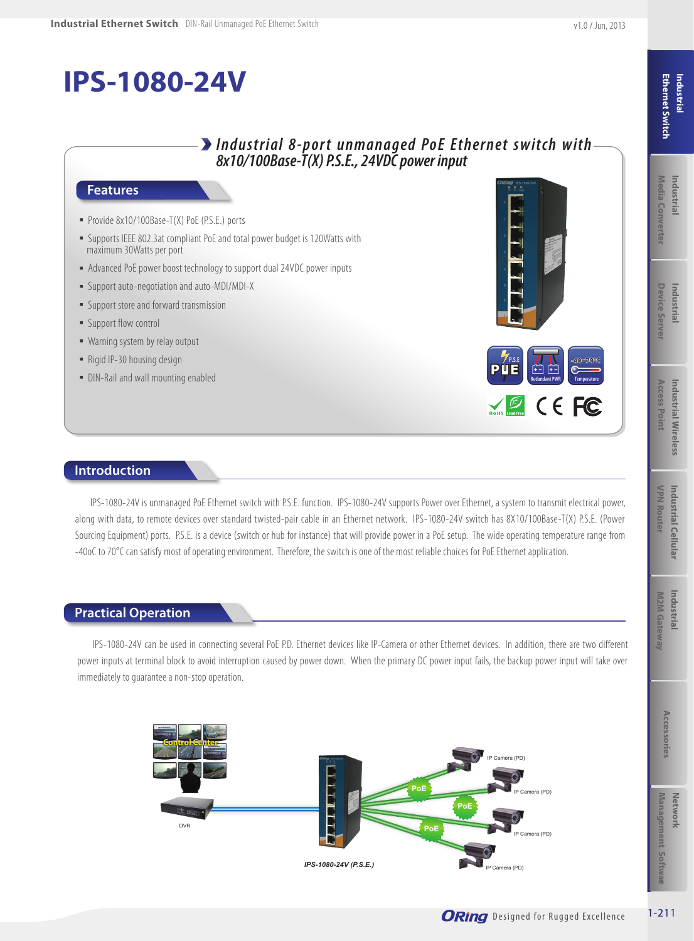

#### **Features**

- Provide 8x10/100Base-T(X) PoE (P.S.E.) ports
- Supports IEEE 802.3at compliant PoE and total power budget is 120Watts with maximum 30Watts per port
- Advanced PoE power boost technology to support dual 24VDC power inputs
- Support auto-negotiation and auto-MDI/MDI-X
- Support store and forward transmission
- **E** Support flow control
- Warning system by relay output
- Rigid IP-30 housing design
- DIN-Rail and wall mounting enabled





### **Introduction**

IPS-1080-24V is unmanaged PoE Ethernet switch with P.S.E. function. IPS-1080-24V supports Power over Ethernet, a system to transmit electrical power, along with data, to remote devices over standard twisted-pair cable in an Ethernet network. IPS-1080-24V switch has 8X10/100Base-T(X) P.S.E. (Power Sourcing Equipment) ports. P.S.E. is a device (switch or hub for instance) that will provide power in a PoE setup. The wide operating temperature range from -40oC to 70°C can satisfy most of operating environment. Therefore, the switch is one of the most reliable choices for PoE Ethernet application.

### **Practical Operation**

IPS-1080-24V can be used in connecting several PoE P.D. Ethernet devices like IP-Camera or other Ethernet devices. In addition, there are two different power inputs at terminal block to avoid interruption caused by power down. When the primary DC power input fails, the backup power input will take over immediately to guarantee a non-stop operation.

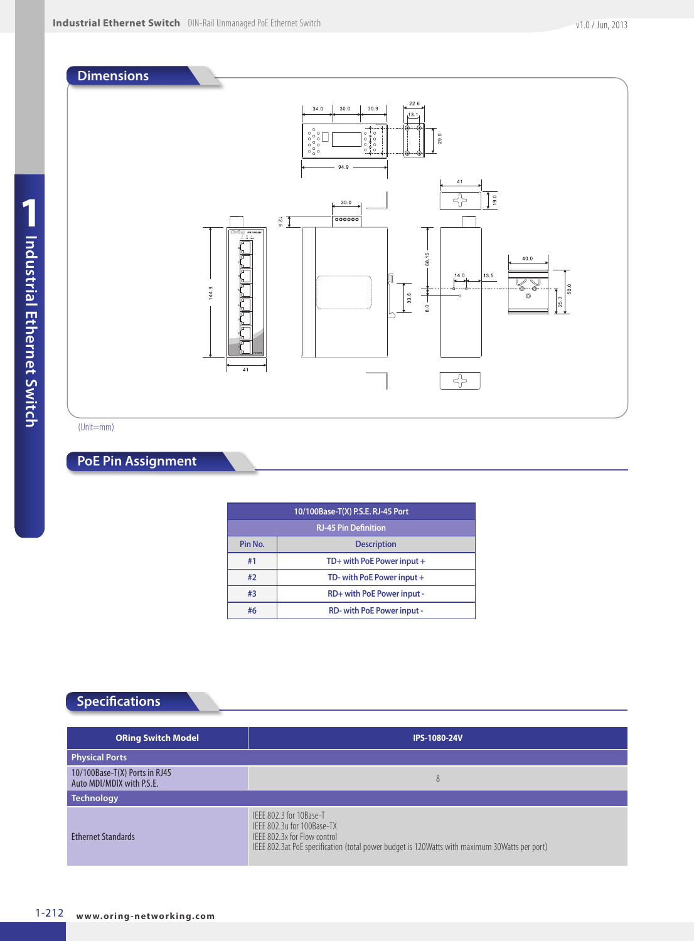

(Unit=mm)

### **PoE Pin Assignment**

| 10/100Base-T(X) P.S.E. RJ-45 Port |                                  |  |  |
|-----------------------------------|----------------------------------|--|--|
| <b>RJ-45 Pin Definition</b>       |                                  |  |  |
| Pin No.                           | <b>Description</b>               |  |  |
| #1                                | TD+ with PoE Power input +       |  |  |
| #2                                | TD- with PoE Power input +       |  |  |
| #3                                | RD+ with PoE Power input -       |  |  |
| #6                                | <b>RD-with PoE Power input -</b> |  |  |

## **Specifications**

| <b>ORing Switch Model</b>                                  | <b>IPS-1080-24V</b>                                                                                                                                                                    |
|------------------------------------------------------------|----------------------------------------------------------------------------------------------------------------------------------------------------------------------------------------|
| <b>Physical Ports</b>                                      |                                                                                                                                                                                        |
| 10/100Base-T(X) Ports in RJ45<br>Auto MDI/MDIX with P.S.E. | 8                                                                                                                                                                                      |
| <b>Technology</b>                                          |                                                                                                                                                                                        |
| <b>Ethernet Standards</b>                                  | IFFF 802.3 for 10Base-T<br>IFFF 802.3u for 100Base-TX<br>IFFF 802.3x for Flow control<br>IEEE 802.3at PoE specification (total power budget is 120Watts with maximum 30Watts per port) |